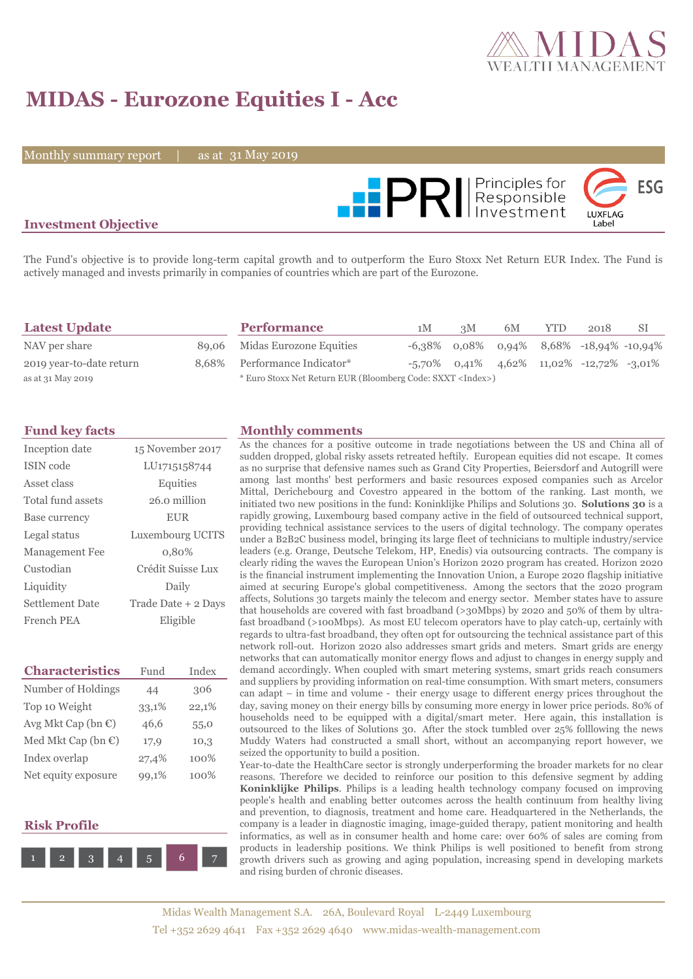

# **MIDAS - Eurozone Equities I - Acc**

Monthly summary report  $\|$ 

as at 31 May 2019



## **Investment Objective**

The Fund's objective is to provide long-term capital growth and to outperform the Euro Stoxx Net Return EUR Index. The Fund is actively managed and invests primarily in companies of countries which are part of the Eurozone.

| <b>Latest Update</b>     | <b>Performance</b>                                                 | 1M | 3M | 6M | <b>YTD</b> | 2018                                        | -SI |
|--------------------------|--------------------------------------------------------------------|----|----|----|------------|---------------------------------------------|-----|
| NAV per share            | 89,06 Midas Eurozone Equities                                      |    |    |    |            | $-6,38\%$ 0,08% 0,94% 8,68% -18,94% -10,94% |     |
| 2019 year-to-date return | 8,68% Performance Indicator*                                       |    |    |    |            | $-5,70\%$ 0,41% 4,62% 11,02% -12,72% -3,01% |     |
| as at 31 May 2019        | * Euro Stoxx Net Return EUR (Bloomberg Code: SXXT <index>)</index> |    |    |    |            |                                             |     |

| Inception date        | 15 November 2017    |
|-----------------------|---------------------|
| ISIN code             | LU1715158744        |
| Asset class           | Equities            |
| Total fund assets     | 26.0 million        |
| Base currency         | <b>EUR</b>          |
| Legal status          | Luxembourg UCITS    |
| <b>Management Fee</b> | 0.80%               |
| Custodian             | Crédit Suisse Lux   |
| Liquidity             | Daily               |
| Settlement Date       | Trade Date + 2 Days |
| French PEA            | Eligible            |

| <b>Characteristics</b>         | Fund  | Index |
|--------------------------------|-------|-------|
| Number of Holdings             | 44    | 306   |
| Top 10 Weight                  | 33,1% | 22,1% |
| Avg Mkt Cap (bn $\mathbb{C}$ ) | 46,6  | 55,0  |
| Med Mkt Cap (bn €)             | 17,9  | 10,3  |
| Index overlap                  | 27,4% | 100%  |
| Net equity exposure            | 99,1% | 100%  |

## **Risk Profile**



#### **Fund key facts Monthly comments**

As the chances for a positive outcome in trade negotiations between the US and China all of sudden dropped, global risky assets retreated heftily. European equities did not escape. It comes as no surprise that defensive names such as Grand City Properties, Beiersdorf and Autogrill were among last months' best performers and basic resources exposed companies such as Arcelor Mittal, Derichebourg and Covestro appeared in the bottom of the ranking. Last month, we initiated two new positions in the fund: Koninklijke Philips and Solutions 30. **Solutions 30** is a rapidly growing, Luxembourg based company active in the field of outsourced technical support, providing technical assistance services to the users of digital technology. The company operates under a B2B2C business model, bringing its large fleet of technicians to multiple industry/service leaders (e.g. Orange, Deutsche Telekom, HP, Enedis) via outsourcing contracts. The company is clearly riding the waves the European Union's Horizon 2020 program has created. Horizon 2020 is the financial instrument implementing the Innovation Union, a Europe 2020 flagship initiative aimed at securing Europe's global competitiveness. Among the sectors that the 2020 program affects, Solutions 30 targets mainly the telecom and energy sector. Member states have to assure that households are covered with fast broadband (>30Mbps) by 2020 and 50% of them by ultrafast broadband (>100Mbps). As most EU telecom operators have to play catch-up, certainly with regards to ultra-fast broadband, they often opt for outsourcing the technical assistance part of this network roll-out. Horizon 2020 also addresses smart grids and meters. Smart grids are energy networks that can automatically monitor energy flows and adjust to changes in energy supply and demand accordingly. When coupled with smart metering systems, smart grids reach consumers and suppliers by providing information on real-time consumption. With smart meters, consumers can adapt – in time and volume - their energy usage to different energy prices throughout the day, saving money on their energy bills by consuming more energy in lower price periods. 80% of households need to be equipped with a digital/smart meter. Here again, this installation is outsourced to the likes of Solutions 30. After the stock tumbled over 25% folllowing the news Muddy Waters had constructed a small short, without an accompanying report however, we seized the opportunity to build a position.

Year-to-date the HealthCare sector is strongly underperforming the broader markets for no clear reasons. Therefore we decided to reinforce our position to this defensive segment by adding **Koninklijke Philips**. Philips is a leading health technology company focused on improving people's health and enabling better outcomes across the health continuum from healthy living and prevention, to diagnosis, treatment and home care. Headquartered in the Netherlands, the company is a leader in diagnostic imaging, image-guided therapy, patient monitoring and health informatics, as well as in consumer health and home care: over 60% of sales are coming from products in leadership positions. We think Philips is well positioned to benefit from strong growth drivers such as growing and aging population, increasing spend in developing markets and rising burden of chronic diseases.